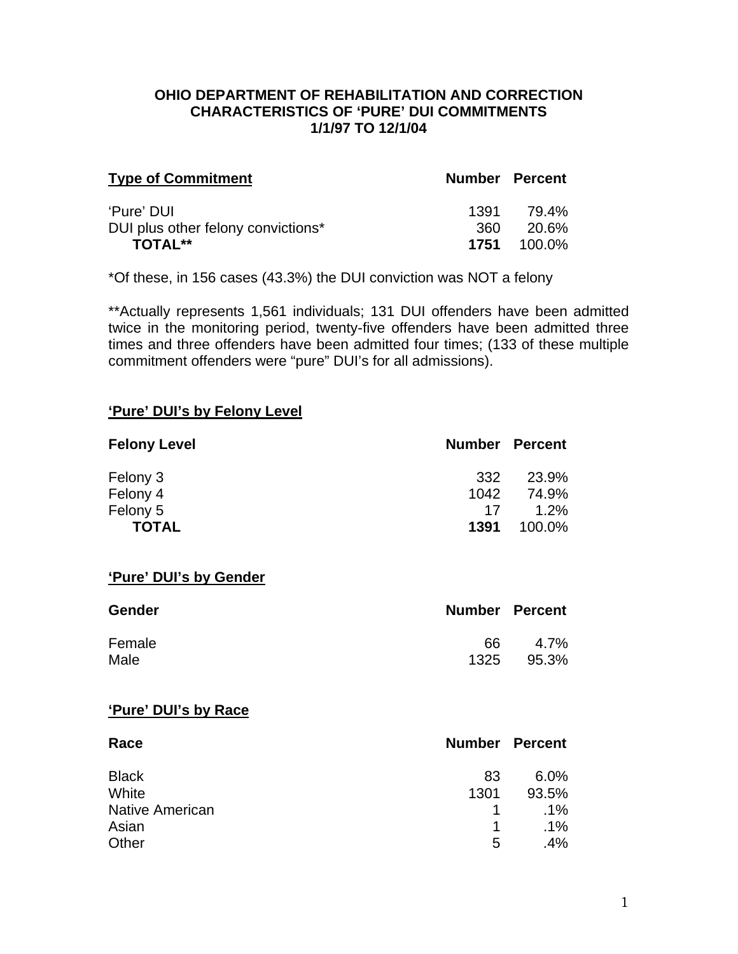#### **OHIO DEPARTMENT OF REHABILITATION AND CORRECTION CHARACTERISTICS OF 'PURE' DUI COMMITMENTS 1/1/97 TO 12/1/04**

| <b>Type of Commitment</b>          | <b>Number Percent</b> |            |
|------------------------------------|-----------------------|------------|
| 'Pure' DUI                         | 1391 -                | 79.4%      |
| DUI plus other felony convictions* | 360.                  | 20.6%      |
| <b>TOTAL**</b>                     | 1751                  | $-100.0\%$ |

\*Of these, in 156 cases (43.3%) the DUI conviction was NOT a felony

\*\*Actually represents 1,561 individuals; 131 DUI offenders have been admitted twice in the monitoring period, twenty-five offenders have been admitted three times and three offenders have been admitted four times; (133 of these multiple commitment offenders were "pure" DUI's for all admissions).

#### **'Pure' DUI's by Felony Level**

| <b>Felony Level</b> | <b>Number Percent</b> |        |
|---------------------|-----------------------|--------|
| Felony 3            | 332                   | 23.9%  |
| Felony 4            | 1042                  | 74.9%  |
| Felony 5            | 17                    | 1.2%   |
| <b>TOTAL</b>        | 1391                  | 100.0% |

#### **'Pure' DUI's by Gender**

| <b>Gender</b> | <b>Number Percent</b> |       |
|---------------|-----------------------|-------|
| Female        | 66.                   | 4.7%  |
| Male          | 1325                  | 95.3% |

#### **'Pure' DUI's by Race**

| Race                   |             | <b>Number Percent</b> |
|------------------------|-------------|-----------------------|
| <b>Black</b>           | 83          | $6.0\%$               |
| White                  | 1301        | 93.5%                 |
| <b>Native American</b> | $\mathbf 1$ | $.1\%$                |
| Asian                  | 1           | $.1\%$                |
| Other                  | 5           | $.4\%$                |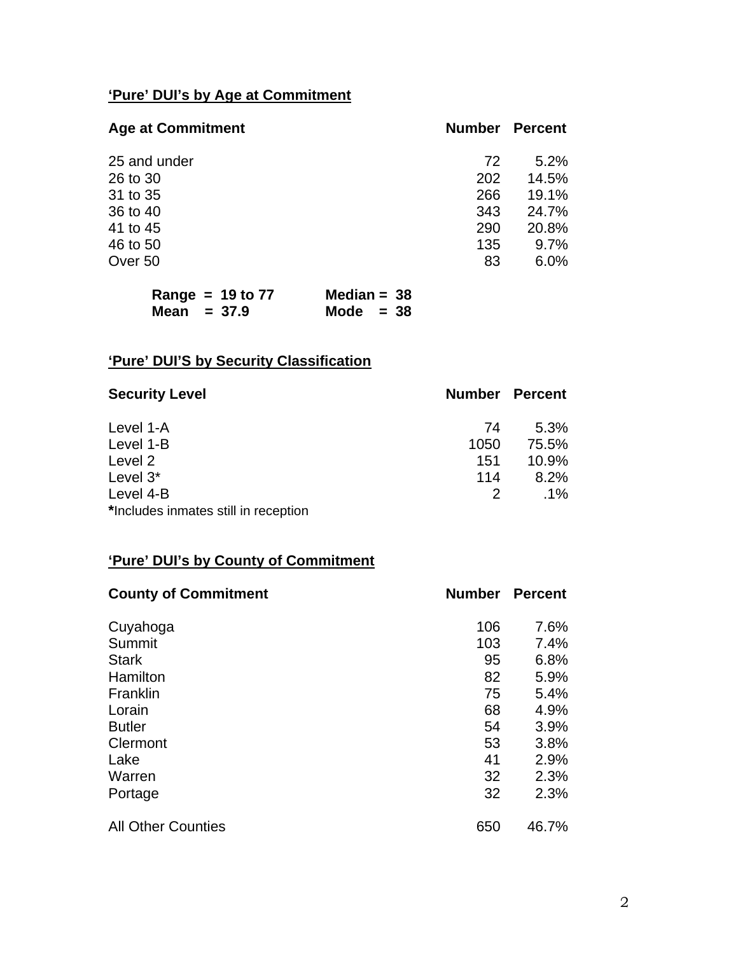# **'Pure' DUI's by Age at Commitment**

| <b>Age at Commitment</b> | <b>Number</b> | Percent |
|--------------------------|---------------|---------|
| 25 and under             | 72            | 5.2%    |
| 26 to 30                 | 202           | 14.5%   |
| 31 to 35                 | 266           | 19.1%   |
| 36 to 40                 | 343           | 24.7%   |
| 41 to 45                 | 290           | 20.8%   |
| 46 to 50                 | 135           | 9.7%    |
| Over 50                  | 83            | 6.0%    |
|                          |               |         |

| Range = $19$ to $77$ | Median = $38$ |
|----------------------|---------------|
| Mean $= 37.9$        | Mode $= 38$   |

# **'Pure' DUI'S by Security Classification**

| <b>Security Level</b>                | <b>Number Percent</b> |        |
|--------------------------------------|-----------------------|--------|
| Level 1-A                            | 74                    | 5.3%   |
| Level 1-B                            | 1050                  | 75.5%  |
| Level 2                              | 151                   | 10.9%  |
| Level 3*                             | 114                   | 8.2%   |
| Level 4-B                            | 2                     | $.1\%$ |
| *Includes inmates still in reception |                       |        |

# **'Pure' DUI's by County of Commitment**

| <b>County of Commitment</b> | <b>Number</b> | <b>Percent</b> |
|-----------------------------|---------------|----------------|
| Cuyahoga                    | 106           | 7.6%           |
| Summit                      | 103           | 7.4%           |
| <b>Stark</b>                | 95            | 6.8%           |
| Hamilton                    | 82            | 5.9%           |
| Franklin                    | 75            | 5.4%           |
| Lorain                      | 68            | 4.9%           |
| <b>Butler</b>               | 54            | 3.9%           |
| Clermont                    | 53            | 3.8%           |
| Lake                        | 41            | 2.9%           |
| Warren                      | 32            | 2.3%           |
| Portage                     | 32            | 2.3%           |
| <b>All Other Counties</b>   | 650           | 46.7%          |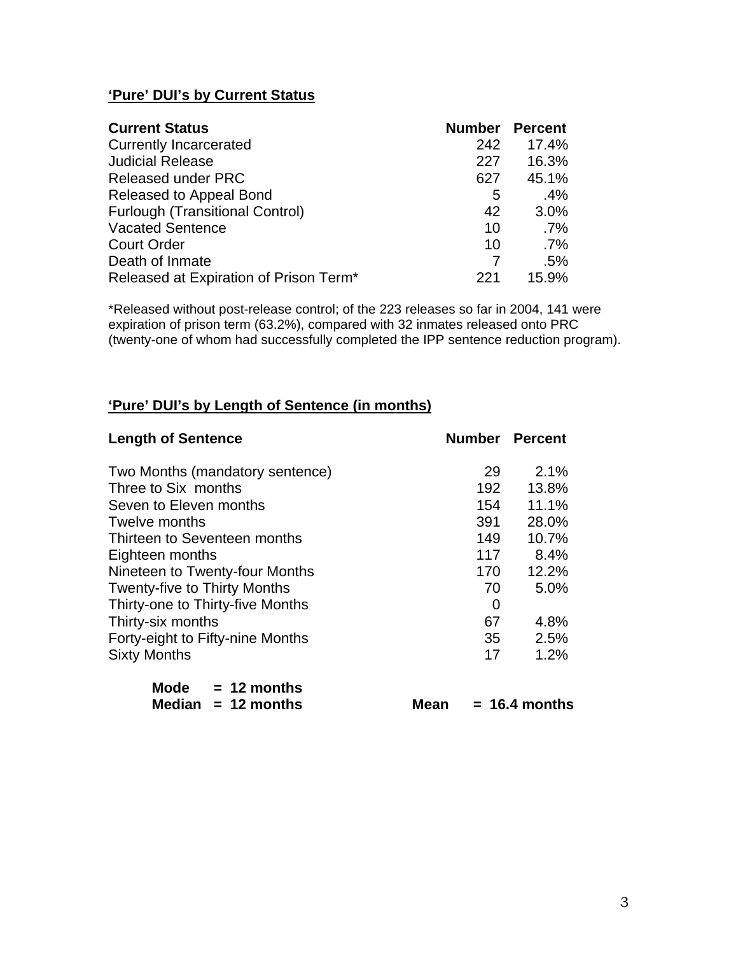## **'Pure' DUI's by Current Status**

| <b>Current Status</b>                  | <b>Number</b> | <b>Percent</b> |
|----------------------------------------|---------------|----------------|
| <b>Currently Incarcerated</b>          | 242           | 17.4%          |
| <b>Judicial Release</b>                | 227           | 16.3%          |
| <b>Released under PRC</b>              | 627           | 45.1%          |
| Released to Appeal Bond                | 5             | $.4\%$         |
| <b>Furlough (Transitional Control)</b> | 42            | 3.0%           |
| <b>Vacated Sentence</b>                | 10            | $.7\%$         |
| <b>Court Order</b>                     | 10            | $.7\%$         |
| Death of Inmate                        |               | .5%            |
| Released at Expiration of Prison Term* | 221           | 15.9%          |

\*Released without post-release control; of the 223 releases so far in 2004, 141 were expiration of prison term (63.2%), compared with 32 inmates released onto PRC (twenty-one of whom had successfully completed the IPP sentence reduction program).

#### **'Pure' DUI's by Length of Sentence (in months)**

| <b>Length of Sentence</b>           |     | <b>Number Percent</b> |
|-------------------------------------|-----|-----------------------|
| Two Months (mandatory sentence)     | 29  | 2.1%                  |
| Three to Six months                 | 192 | 13.8%                 |
| Seven to Eleven months              | 154 | 11.1%                 |
| Twelve months                       | 391 | 28.0%                 |
| Thirteen to Seventeen months        | 149 | 10.7%                 |
| Eighteen months                     | 117 | 8.4%                  |
| Nineteen to Twenty-four Months      | 170 | 12.2%                 |
| <b>Twenty-five to Thirty Months</b> | 70  | 5.0%                  |
| Thirty-one to Thirty-five Months    | 0   |                       |
| Thirty-six months                   | 67  | 4.8%                  |
| Forty-eight to Fifty-nine Months    | 35  | 2.5%                  |
| <b>Sixty Months</b>                 | 17  | 1.2%                  |
| 48. 41. .                           |     |                       |

| Mode   | $= 12$ months |
|--------|---------------|
| Median | $= 12$ months |

 $Mean = 16.4 months$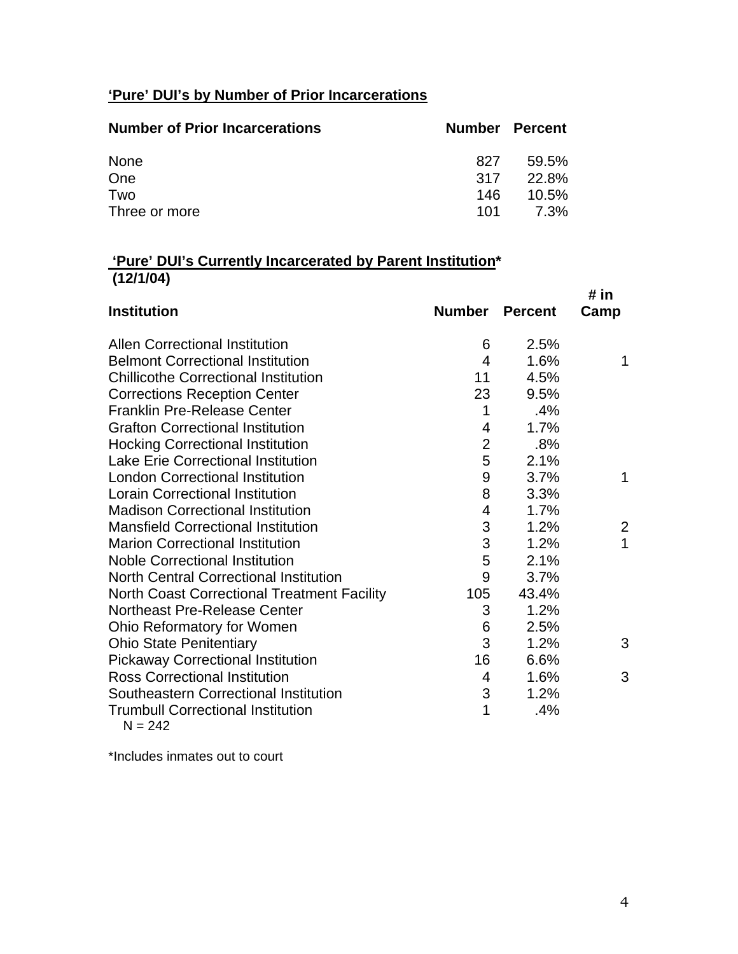## **'Pure' DUI's by Number of Prior Incarcerations**

| <b>Number of Prior Incarcerations</b> | <b>Number Percent</b> |       |
|---------------------------------------|-----------------------|-------|
| None                                  | 827                   | 59.5% |
| One                                   | 317                   | 22.8% |
| Two                                   | 146                   | 10.5% |
| Three or more                         | 101 -                 | 7.3%  |

## **'Pure' DUI's Currently Incarcerated by Parent Institution\* (12/1/04)**

|                                                       |                         |                | # in         |
|-------------------------------------------------------|-------------------------|----------------|--------------|
| <b>Institution</b>                                    | <b>Number</b>           | <b>Percent</b> | Camp         |
| <b>Allen Correctional Institution</b>                 | 6                       | 2.5%           |              |
| <b>Belmont Correctional Institution</b>               | 4                       | 1.6%           | 1            |
| <b>Chillicothe Correctional Institution</b>           | 11                      | 4.5%           |              |
| <b>Corrections Reception Center</b>                   | 23                      | 9.5%           |              |
| <b>Franklin Pre-Release Center</b>                    | 1                       | .4%            |              |
| <b>Grafton Correctional Institution</b>               | 4                       | 1.7%           |              |
| <b>Hocking Correctional Institution</b>               | $\overline{2}$          | $.8\%$         |              |
| <b>Lake Erie Correctional Institution</b>             | 5                       | 2.1%           |              |
| <b>London Correctional Institution</b>                | $9$                     | 3.7%           | 1            |
| <b>Lorain Correctional Institution</b>                | 8                       | 3.3%           |              |
| <b>Madison Correctional Institution</b>               | $\overline{\mathbf{4}}$ | 1.7%           |              |
| <b>Mansfield Correctional Institution</b>             | 3                       | 1.2%           | $\mathbf{2}$ |
| <b>Marion Correctional Institution</b>                | 3                       | 1.2%           | $\mathbf{1}$ |
| <b>Noble Correctional Institution</b>                 | 5                       | 2.1%           |              |
| <b>North Central Correctional Institution</b>         | 9                       | 3.7%           |              |
| <b>North Coast Correctional Treatment Facility</b>    | 105                     | 43.4%          |              |
| Northeast Pre-Release Center                          | 3                       | 1.2%           |              |
| Ohio Reformatory for Women                            | 6                       | 2.5%           |              |
| <b>Ohio State Penitentiary</b>                        | 3                       | 1.2%           | 3            |
| <b>Pickaway Correctional Institution</b>              | 16                      | 6.6%           |              |
| <b>Ross Correctional Institution</b>                  | 4                       | 1.6%           | 3            |
| Southeastern Correctional Institution                 | 3                       | 1.2%           |              |
| <b>Trumbull Correctional Institution</b><br>$N = 242$ | 1                       | .4%            |              |

 $N = 242$ 

\*Includes inmates out to court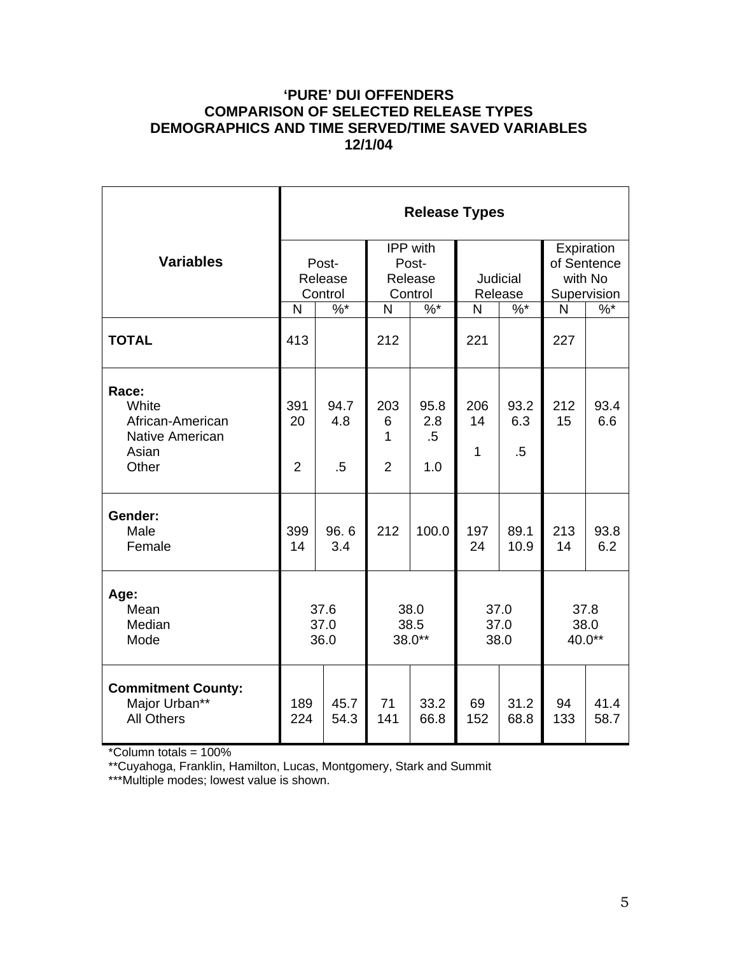## **'PURE' DUI OFFENDERS COMPARISON OF SELECTED RELEASE TYPES DEMOGRAPHICS AND TIME SERVED/TIME SAVED VARIABLES 12/1/04**

|                                                                         | <b>Release Types</b>        |                       |                                         |                              |                      |                       |                                                     |               |  |
|-------------------------------------------------------------------------|-----------------------------|-----------------------|-----------------------------------------|------------------------------|----------------------|-----------------------|-----------------------------------------------------|---------------|--|
| <b>Variables</b>                                                        | Post-<br>Release<br>Control |                       | IPP with<br>Post-<br>Release<br>Control |                              | Judicial<br>Release  |                       | Expiration<br>of Sentence<br>with No<br>Supervision |               |  |
|                                                                         | N                           | $\sqrt[6]{6}$         | N                                       | $\frac{9}{6}$                | N                    | $\sqrt[6]{6}$         |                                                     | $\sqrt[6]{6}$ |  |
| <b>TOTAL</b>                                                            | 413                         |                       | 212                                     |                              | 221                  |                       | 227                                                 |               |  |
| Race:<br>White<br>African-American<br>Native American<br>Asian<br>Other | 391<br>20<br>$\overline{2}$ | 94.7<br>4.8<br>$.5\,$ | 203<br>6<br>1<br>$\overline{2}$         | 95.8<br>2.8<br>$.5\,$<br>1.0 | 206<br>14<br>1       | 93.2<br>6.3<br>$.5\,$ | 212<br>15                                           | 93.4<br>6.6   |  |
| Gender:<br>Male<br>Female                                               | 399<br>14                   | 96.6<br>3.4           | 212                                     | 100.0                        | 197<br>24            | 89.1<br>10.9          | 213<br>14                                           | 93.8<br>6.2   |  |
| Age:<br>Mean<br>Median<br>Mode                                          | 37.6<br>37.0<br>36.0        |                       | 38.0<br>38.5<br>38.0**                  |                              | 37.0<br>37.0<br>38.0 |                       | 37.8<br>38.0<br>40.0**                              |               |  |
| <b>Commitment County:</b><br>Major Urban**<br><b>All Others</b>         | 189<br>224                  | 45.7<br>54.3          | 71<br>141                               | 33.2<br>66.8                 | 69<br>152            | 31.2<br>68.8          | 94<br>133                                           | 41.4<br>58.7  |  |

\*Column totals = 100%

\*\*Cuyahoga, Franklin, Hamilton, Lucas, Montgomery, Stark and Summit

\*\*\*Multiple modes; lowest value is shown.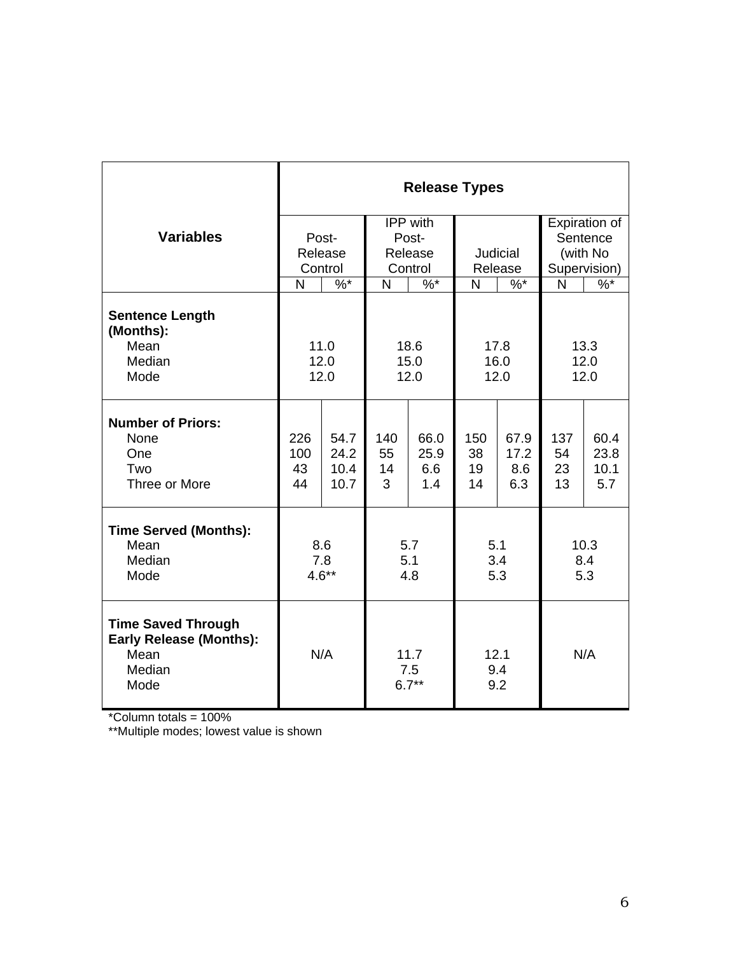|                                                                                       | <b>Release Types</b>                         |                              |                                               |                            |                       |                            |                       |                             |
|---------------------------------------------------------------------------------------|----------------------------------------------|------------------------------|-----------------------------------------------|----------------------------|-----------------------|----------------------------|-----------------------|-----------------------------|
|                                                                                       |                                              | IPP with                     |                                               |                            |                       |                            | Expiration of         |                             |
| <b>Variables</b>                                                                      |                                              | Post-                        |                                               | Post-                      |                       |                            |                       | Sentence                    |
|                                                                                       | Release                                      |                              | Release                                       |                            | Judicial              |                            | (with No              |                             |
|                                                                                       |                                              | Control                      | Control<br>Release                            |                            | Supervision)          |                            |                       |                             |
|                                                                                       | N                                            | $\%$ *                       | N                                             | $\%$ *                     | N                     | $\%$ *                     | N                     | $\%$ *                      |
| <b>Sentence Length</b><br>(Months):<br>Mean<br>Median<br>Mode                         | 11.0<br>18.6<br>12.0<br>15.0<br>12.0<br>12.0 |                              | 17.8<br>16.0<br>12.0                          |                            | 13.3<br>12.0<br>12.0  |                            |                       |                             |
|                                                                                       |                                              |                              |                                               |                            |                       |                            |                       |                             |
| <b>Number of Priors:</b><br>None<br>One<br>Two<br>Three or More                       | 226<br>100<br>43<br>44                       | 54.7<br>24.2<br>10.4<br>10.7 | 140<br>55<br>14<br>3                          | 66.0<br>25.9<br>6.6<br>1.4 | 150<br>38<br>19<br>14 | 67.9<br>17.2<br>8.6<br>6.3 | 137<br>54<br>23<br>13 | 60.4<br>23.8<br>10.1<br>5.7 |
| <b>Time Served (Months):</b>                                                          |                                              |                              |                                               |                            |                       |                            |                       |                             |
| Mean<br>Median<br>Mode                                                                | 8.6<br>7.8<br>$4.6**$                        |                              | 5.7<br>5.1<br>4.8                             |                            | 5.1<br>3.4<br>5.3     |                            | 10.3<br>8.4<br>5.3    |                             |
| <b>Time Saved Through</b><br><b>Early Release (Months):</b><br>Mean<br>Median<br>Mode |                                              | N/A                          | 12.1<br>11.7<br>9.4<br>7.5<br>$6.7***$<br>9.2 |                            | N/A                   |                            |                       |                             |

\*Column totals = 100%

\*\*Multiple modes; lowest value is shown